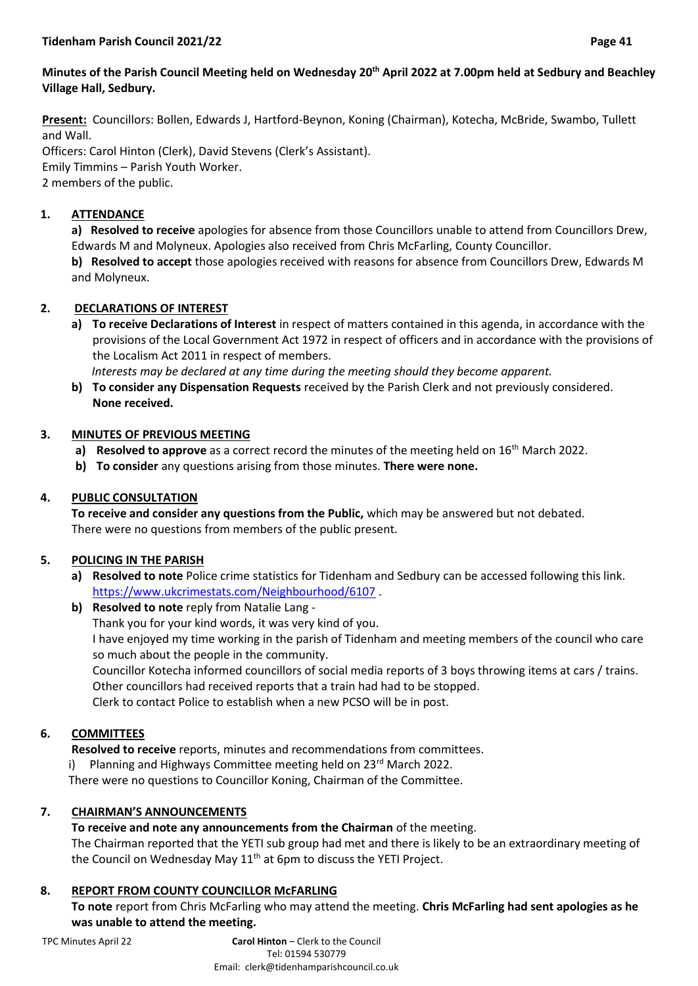## **Minutes of the Parish Council Meeting held on Wednesday 20th April 2022 at 7.00pm held at Sedbury and Beachley Village Hall, Sedbury.**

**Present:** Councillors: Bollen, Edwards J, Hartford-Beynon, Koning (Chairman), Kotecha, McBride, Swambo, Tullett and Wall.

Officers: Carol Hinton (Clerk), David Stevens (Clerk's Assistant). Emily Timmins – Parish Youth Worker. 2 members of the public.

# **1. ATTENDANCE**

**a) Resolved to receive** apologies for absence from those Councillors unable to attend from Councillors Drew, Edwards M and Molyneux. Apologies also received from Chris McFarling, County Councillor.

**b) Resolved to accept** those apologies received with reasons for absence from Councillors Drew, Edwards M and Molyneux.

# **2. DECLARATIONS OF INTEREST**

**a) To receive Declarations of Interest** in respect of matters contained in this agenda, in accordance with the provisions of the Local Government Act 1972 in respect of officers and in accordance with the provisions of the Localism Act 2011 in respect of members.

 *Interests may be declared at any time during the meeting should they become apparent.*

**b) To consider any Dispensation Requests** received by the Parish Clerk and not previously considered. **None received.**

## **3. MINUTES OF PREVIOUS MEETING**

- **a) Resolved to approve** as a correct record the minutes of the meeting held on 16<sup>th</sup> March 2022.
- **b) To consider** any questions arising from those minutes. **There were none.**

# **4. PUBLIC CONSULTATION**

**To receive and consider any questions from the Public,** which may be answered but not debated. There were no questions from members of the public present.

## **5. POLICING IN THE PARISH**

**a) Resolved to note** Police crime statistics for Tidenham and Sedbury can be accessed following this link. <https://www.ukcrimestats.com/Neighbourhood/6107> .

#### **b) Resolved to note** reply from Natalie Lang -

Thank you for your kind words, it was very kind of you.

I have enjoyed my time working in the parish of Tidenham and meeting members of the council who care so much about the people in the community.

Councillor Kotecha informed councillors of social media reports of 3 boys throwing items at cars / trains. Other councillors had received reports that a train had had to be stopped.

Clerk to contact Police to establish when a new PCSO will be in post.

## **6. COMMITTEES**

**Resolved to receive** reports, minutes and recommendations from committees.

Planning and Highways Committee meeting held on 23<sup>rd</sup> March 2022.

There were no questions to Councillor Koning, Chairman of the Committee.

## **7. CHAIRMAN'S ANNOUNCEMENTS**

## **To receive and note any announcements from the Chairman** of the meeting.

The Chairman reported that the YETI sub group had met and there is likely to be an extraordinary meeting of the Council on Wednesday May 11<sup>th</sup> at 6pm to discuss the YETI Project.

## **8. REPORT FROM COUNTY COUNCILLOR McFARLING**

**To note** report from Chris McFarling who may attend the meeting. **Chris McFarling had sent apologies as he was unable to attend the meeting.**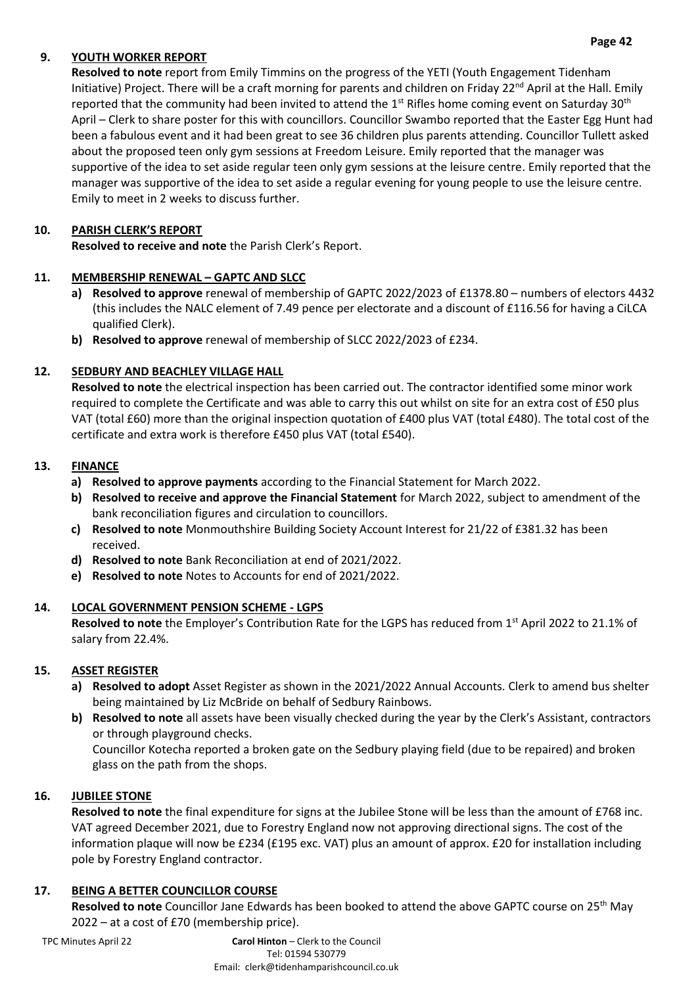# **9. YOUTH WORKER REPORT**

**Resolved to note** report from Emily Timmins on the progress of the YETI (Youth Engagement Tidenham Initiative) Project. There will be a craft morning for parents and children on Friday 22<sup>nd</sup> April at the Hall. Emily reported that the community had been invited to attend the  $1<sup>st</sup>$  Rifles home coming event on Saturday 30<sup>th</sup> April – Clerk to share poster for this with councillors. Councillor Swambo reported that the Easter Egg Hunt had been a fabulous event and it had been great to see 36 children plus parents attending. Councillor Tullett asked about the proposed teen only gym sessions at Freedom Leisure. Emily reported that the manager was supportive of the idea to set aside regular teen only gym sessions at the leisure centre. Emily reported that the manager was supportive of the idea to set aside a regular evening for young people to use the leisure centre. Emily to meet in 2 weeks to discuss further.

## **10. PARISH CLERK'S REPORT**

**Resolved to receive and note** the Parish Clerk's Report.

#### 11. MEMBERSHIP RENEWAL - GAPTC AND SLCC

- **a) Resolved to approve** renewal of membership of GAPTC 2022/2023 of £1378.80 numbers of electors 4432 (this includes the NALC element of 7.49 pence per electorate and a discount of £116.56 for having a CiLCA qualified Clerk).
- **b) Resolved to approve** renewal of membership of SLCC 2022/2023 of £234.

## **12. SEDBURY AND BEACHLEY VILLAGE HALL**

**Resolved to note** the electrical inspection has been carried out. The contractor identified some minor work required to complete the Certificate and was able to carry this out whilst on site for an extra cost of £50 plus VAT (total £60) more than the original inspection quotation of £400 plus VAT (total £480). The total cost of the certificate and extra work is therefore £450 plus VAT (total £540).

#### **13. FINANCE**

- **a) Resolved to approve payments** according to the Financial Statement for March 2022.
- **b) Resolved to receive and approve the Financial Statement** for March 2022, subject to amendment of the bank reconciliation figures and circulation to councillors.
- **c) Resolved to note** Monmouthshire Building Society Account Interest for 21/22 of £381.32 has been received.
- **d) Resolved to note** Bank Reconciliation at end of 2021/2022.
- **e) Resolved to note** Notes to Accounts for end of 2021/2022.

#### **14. LOCAL GOVERNMENT PENSION SCHEME - LGPS**

**Resolved to note** the Employer's Contribution Rate for the LGPS has reduced from 1st April 2022 to 21.1% of salary from 22.4%.

## **15. ASSET REGISTER**

- **a) Resolved to adopt** Asset Register as shown in the 2021/2022 Annual Accounts. Clerk to amend bus shelter being maintained by Liz McBride on behalf of Sedbury Rainbows.
- **b) Resolved to note** all assets have been visually checked during the year by the Clerk's Assistant, contractors or through playground checks.

Councillor Kotecha reported a broken gate on the Sedbury playing field (due to be repaired) and broken glass on the path from the shops.

## **16. JUBILEE STONE**

**Resolved to note** the final expenditure for signs at the Jubilee Stone will be less than the amount of £768 inc. VAT agreed December 2021, due to Forestry England now not approving directional signs. The cost of the information plaque will now be £234 (£195 exc. VAT) plus an amount of approx. £20 for installation including pole by Forestry England contractor.

## **17. BEING A BETTER COUNCILLOR COURSE**

**Resolved to note** Councillor Jane Edwards has been booked to attend the above GAPTC course on 25th May 2022 – at a cost of £70 (membership price).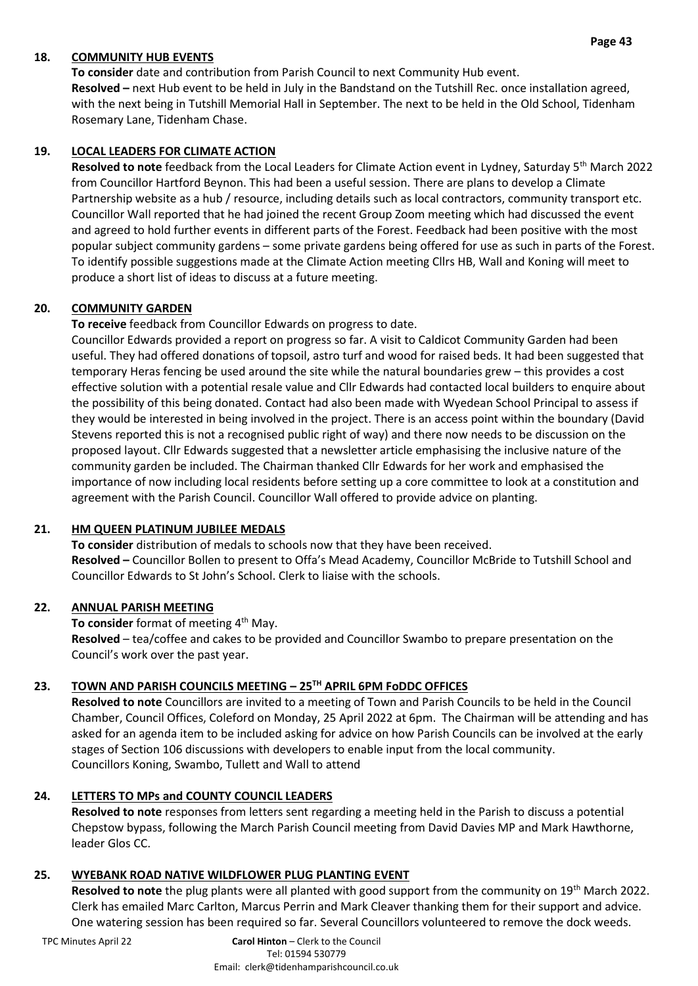# **18. COMMUNITY HUB EVENTS**

**To consider** date and contribution from Parish Council to next Community Hub event. **Resolved –** next Hub event to be held in July in the Bandstand on the Tutshill Rec. once installation agreed, with the next being in Tutshill Memorial Hall in September. The next to be held in the Old School, Tidenham Rosemary Lane, Tidenham Chase.

#### **19. LOCAL LEADERS FOR CLIMATE ACTION**

**Resolved to note** feedback from the Local Leaders for Climate Action event in Lydney, Saturday 5th March 2022 from Councillor Hartford Beynon. This had been a useful session. There are plans to develop a Climate Partnership website as a hub / resource, including details such as local contractors, community transport etc. Councillor Wall reported that he had joined the recent Group Zoom meeting which had discussed the event and agreed to hold further events in different parts of the Forest. Feedback had been positive with the most popular subject community gardens – some private gardens being offered for use as such in parts of the Forest. To identify possible suggestions made at the Climate Action meeting Cllrs HB, Wall and Koning will meet to produce a short list of ideas to discuss at a future meeting.

#### **20. COMMUNITY GARDEN**

**To receive** feedback from Councillor Edwards on progress to date.

Councillor Edwards provided a report on progress so far. A visit to Caldicot Community Garden had been useful. They had offered donations of topsoil, astro turf and wood for raised beds. It had been suggested that temporary Heras fencing be used around the site while the natural boundaries grew – this provides a cost effective solution with a potential resale value and Cllr Edwards had contacted local builders to enquire about the possibility of this being donated. Contact had also been made with Wyedean School Principal to assess if they would be interested in being involved in the project. There is an access point within the boundary (David Stevens reported this is not a recognised public right of way) and there now needs to be discussion on the proposed layout. Cllr Edwards suggested that a newsletter article emphasising the inclusive nature of the community garden be included. The Chairman thanked Cllr Edwards for her work and emphasised the importance of now including local residents before setting up a core committee to look at a constitution and agreement with the Parish Council. Councillor Wall offered to provide advice on planting.

## **21. HM QUEEN PLATINUM JUBILEE MEDALS**

**To consider** distribution of medals to schools now that they have been received. **Resolved –** Councillor Bollen to present to Offa's Mead Academy, Councillor McBride to Tutshill School and Councillor Edwards to St John's School. Clerk to liaise with the schools.

#### **22. ANNUAL PARISH MEETING**

To consider format of meeting 4<sup>th</sup> May. **Resolved** – tea/coffee and cakes to be provided and Councillor Swambo to prepare presentation on the Council's work over the past year.

## **23. TOWN AND PARISH COUNCILS MEETING – 25TH APRIL 6PM FoDDC OFFICES**

**Resolved to note** Councillors are invited to a meeting of Town and Parish Councils to be held in the Council Chamber, Council Offices, Coleford on Monday, 25 April 2022 at 6pm. The Chairman will be attending and has asked for an agenda item to be included asking for advice on how Parish Councils can be involved at the early stages of Section 106 discussions with developers to enable input from the local community. Councillors Koning, Swambo, Tullett and Wall to attend

## **24. LETTERS TO MPs and COUNTY COUNCIL LEADERS**

**Resolved to note** responses from letters sent regarding a meeting held in the Parish to discuss a potential Chepstow bypass, following the March Parish Council meeting from David Davies MP and Mark Hawthorne, leader Glos CC.

#### **25. WYEBANK ROAD NATIVE WILDFLOWER PLUG PLANTING EVENT**

**Resolved to note** the plug plants were all planted with good support from the community on 19th March 2022. Clerk has emailed Marc Carlton, Marcus Perrin and Mark Cleaver thanking them for their support and advice. One watering session has been required so far. Several Councillors volunteered to remove the dock weeds.